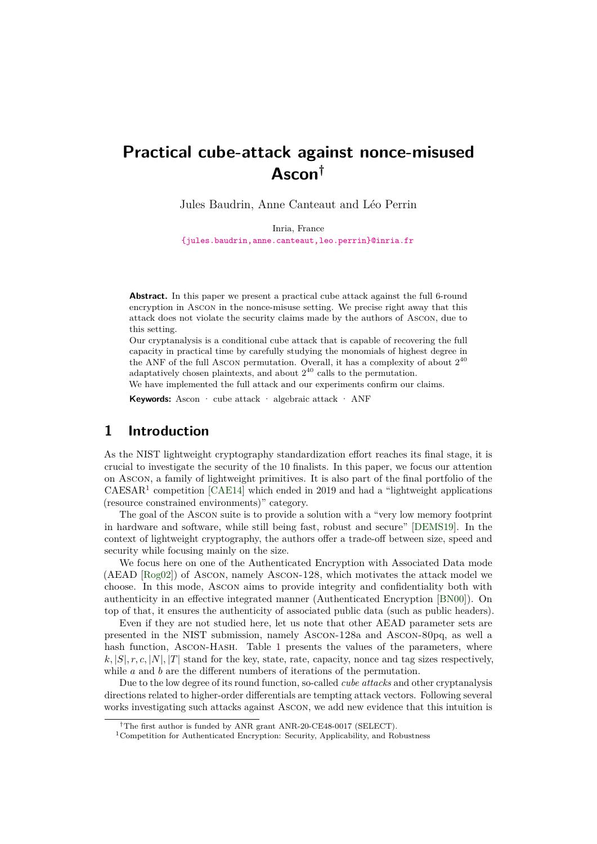# **Practical cube-attack against nonce-misused Ascon†**

Jules Baudrin, Anne Canteaut and Léo Perrin

Inria, France [{jules.baudrin,anne.canteaut,leo.perrin}@inria.fr](mailto:{jules.baudrin, anne.canteaut, leo.perrin}@inria.fr)

**Abstract.** In this paper we present a practical cube attack against the full 6-round encryption in Ascon in the nonce-misuse setting. We precise right away that this attack does not violate the security claims made by the authors of Ascon, due to this setting.

Our cryptanalysis is a conditional cube attack that is capable of recovering the full capacity in practical time by carefully studying the monomials of highest degree in the ANF of the full Ascon permutation. Overall, it has a complexity of about  $2^{40}$ adaptatively chosen plaintexts, and about  $2^{40}$  calls to the permutation.

We have implemented the full attack and our experiments confirm our claims.

**Keywords:** Ascon · cube attack · algebraic attack · ANF

# **1 Introduction**

As the NIST lightweight cryptography standardization effort reaches its final stage, it is crucial to investigate the security of the 10 finalists. In this paper, we focus our attention on Ascon, a family of lightweight primitives. It is also part of the final portfolio of the CAESAR[1](#page-0-0) competition [\[CAE14\]](#page-17-0) which ended in 2019 and had a "lightweight applications (resource constrained environments)" category.

The goal of the Ascon suite is to provide a solution with a "very low memory footprint in hardware and software, while still being fast, robust and secure" [\[DEMS19\]](#page-17-1). In the context of lightweight cryptography, the authors offer a trade-off between size, speed and security while focusing mainly on the size.

We focus here on one of the Authenticated Encryption with Associated Data mode (AEAD [\[Rog02\]](#page-18-0)) of Ascon, namely Ascon-128, which motivates the attack model we choose. In this mode, Ascon aims to provide integrity and confidentiality both with authenticity in an effective integrated manner (Authenticated Encryption [\[BN00\]](#page-17-2)). On top of that, it ensures the authenticity of associated public data (such as public headers).

Even if they are not studied here, let us note that other AEAD parameter sets are presented in the NIST submission, namely Ascon-128a and Ascon-80pq, as well a hash function, Ascon-Hash. Table [1](#page-1-0) presents the values of the parameters, where  $k, |S|, r, c, |N|, |T|$  stand for the key, state, rate, capacity, nonce and tag sizes respectively, while *a* and *b* are the different numbers of iterations of the permutation.

Due to the low degree of its round function, so-called *cube attacks* and other cryptanalysis directions related to higher-order differentials are tempting attack vectors. Following several works investigating such attacks against Ascon, we add new evidence that this intuition is

<sup>&</sup>lt;sup>†</sup>The first author is funded by ANR grant ANR-20-CE48-0017 (SELECT).

<span id="page-0-0"></span><sup>1</sup>Competition for Authenticated Encryption: Security, Applicability, and Robustness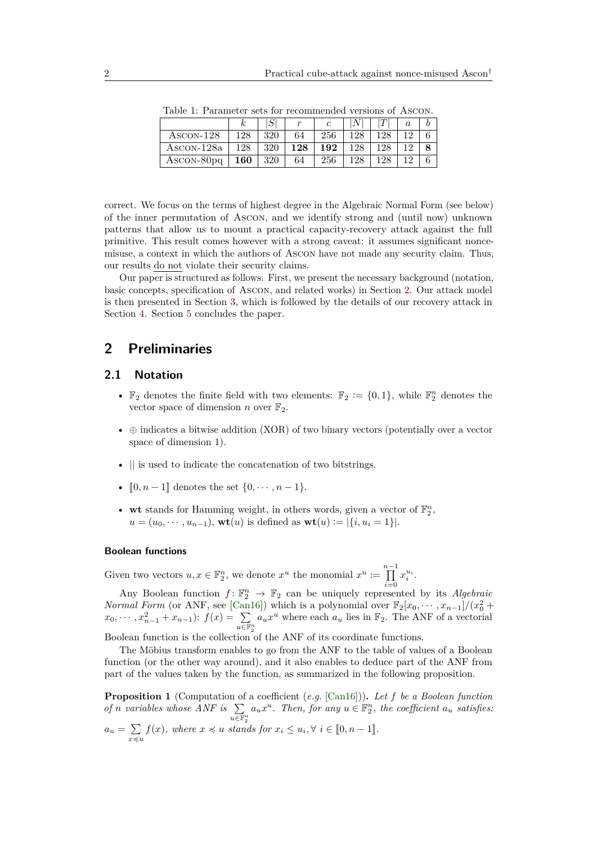|              |     | $S^\prime$ | r   |     |     |  |  |
|--------------|-----|------------|-----|-----|-----|--|--|
| ASCON-128    | 128 | 320        | 64  | 256 | 128 |  |  |
| ASCON-128a   | 128 | 320        | 128 | 192 |     |  |  |
| $ASCON-80pq$ | 160 | 320        | 64  | 256 |     |  |  |

<span id="page-1-0"></span>Table 1: Parameter sets for recommended versions of Ascon.

correct. We focus on the terms of highest degree in the Algebraic Normal Form (see below) of the inner permutation of Ascon, and we identify strong and (until now) unknown patterns that allow us to mount a practical capacity-recovery attack against the full primitive. This result comes however with a strong caveat: it assumes significant noncemisuse, a context in which the authors of Ascon have not made any security claim. Thus, our results do not violate their security claims.

Our paper is structured as follows. First, we present the necessary background (notation, basic concepts, specification of Ascon, and related works) in Section [2.](#page-1-1) Our attack model is then presented in Section [3,](#page-5-0) which is followed by the details of our recovery attack in Section [4.](#page-8-0) Section [5](#page-16-0) concludes the paper.

# <span id="page-1-1"></span>**2 Preliminaries**

### **2.1 Notation**

- $\mathbb{F}_2$  denotes the finite field with two elements:  $\mathbb{F}_2 := \{0,1\}$ , while  $\mathbb{F}_2^n$  denotes the vector space of dimension *n* over  $\mathbb{F}_2$ .
- ⊕ indicates a bitwise addition (XOR) of two binary vectors (potentially over a vector space of dimension 1).
- $\parallel$  is used to indicate the concatenation of two bitstrings.
- $[0, n-1]$  denotes the set  $\{0, \dots, n-1\}.$
- wt stands for Hamming weight, in others words, given a vector of  $\mathbb{F}_2^n$ ,  $u = (u_0, \dots, u_{n-1}), \textbf{wt}(u)$  is defined as  $\textbf{wt}(u) := |\{i, u_i = 1\}|.$

#### **Boolean functions**

Given two vectors  $u, x \in \mathbb{F}_2^n$ , we denote  $x^u$  the monomial  $x^u := \prod^{n-1}$ *i*=0  $x_i^{u_i}$ .

Any Boolean function  $f: \mathbb{F}_2^n \to \mathbb{F}_2$  can be uniquely represented by its *Algebraic Normal Form* (or ANF, see [\[Can16\]](#page-17-3)) which is a polynomial over  $\mathbb{F}_2[x_0, \cdots, x_{n-1}]/(x_0^2 +$  $x_0, \cdots, x_{n-1}^2 + x_{n-1}$ :  $f(x) = \sum_{u \in \mathbb{F}_2^n}$  $a_u x^u$  where each  $a_u$  lies in  $\mathbb{F}_2$ . The ANF of a vectorial

Boolean function is the collection of the ANF of its coordinate functions.

The Möbius transform enables to go from the ANF to the table of values of a Boolean function (or the other way around), and it also enables to deduce part of the ANF from part of the values taken by the function, as summarized in the following proposition.

<span id="page-1-2"></span>**Proposition 1** (Computation of a coefficient (*e.g.* [\[Can16\]](#page-17-3)))**.** *Let f be a Boolean function of n variables* whose ANF is  $\Sigma$  $\sum_{u \in \mathbb{F}_2^n} a_u x^u$ . Then, for any  $u \in \mathbb{F}_2^n$ , the coefficient  $a_u$  satisfies:  $a_u = \sum f(x)$ , where  $x \preccurlyeq u$  stand  $\sum_{x \preccurlyeq u} f(x)$ *, where*  $x \preccurlyeq u$  *stands for*  $x_i \le u_i, \forall i \in [0, n-1]$ *.*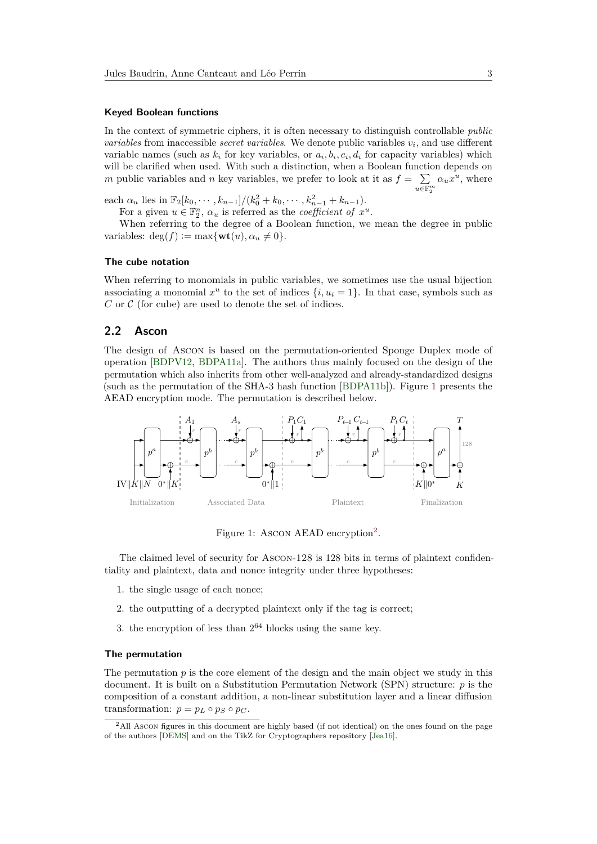#### **Keyed Boolean functions**

In the context of symmetric ciphers, it is often necessary to distinguish controllable *public variables* from inaccessible *secret variables*. We denote public variables *v<sup>i</sup>* , and use different variable names (such as  $k_i$  for key variables, or  $a_i, b_i, c_i, d_i$  for capacity variables) which will be clarified when used. With such a distinction, when a Boolean function depends on *m* public variables and *n* key variables, we prefer to look at it as  $f = \sum$  $u \overline{\in} \mathbb{F}_2^m$  $\alpha_u x^u$ , where

each  $\alpha_u$  lies in  $\mathbb{F}_2[k_0, \cdots, k_{n-1}]/(k_0^2 + k_0, \cdots, k_{n-1}^2 + k_{n-1}).$ 

For a given  $u \in \mathbb{F}_2^n$ ,  $\alpha_u$  is referred as the *coefficient of*  $x^u$ .

When referring to the degree of a Boolean function, we mean the degree in public variables:  $\deg(f) := \max\{\textbf{wt}(u), \alpha_u \neq 0\}.$ 

#### **The cube notation**

When referring to monomials in public variables, we sometimes use the usual bijection associating a monomial  $x^u$  to the set of indices  $\{i, u_i = 1\}$ . In that case, symbols such as  $C$  or  $C$  (for cube) are used to denote the set of indices.

### **2.2 Ascon**

The design of Ascon is based on the permutation-oriented Sponge Duplex mode of operation [\[BDPV12,](#page-17-4) [BDPA11a\]](#page-17-5). The authors thus mainly focused on the design of the permutation which also inherits from other well-analyzed and already-standardized designs (such as the permutation of the SHA-3 hash function [\[BDPA11b\]](#page-17-6)). Figure [1](#page-2-0) presents the AEAD encryption mode. The permutation is described below.

<span id="page-2-0"></span>

Figure 1: Ascon AEAD encryption<sup>[2](#page-2-1)</sup>.

The claimed level of security for Ascon-128 is 128 bits in terms of plaintext confidentiality and plaintext, data and nonce integrity under three hypotheses:

- 1. the single usage of each nonce;
- 2. the outputting of a decrypted plaintext only if the tag is correct;
- 3. the encryption of less than  $2^{64}$  blocks using the same key.

#### **The permutation**

The permutation p is the core element of the design and the main object we study in this document. It is built on a Substitution Permutation Network (SPN) structure: *p* is the composition of a constant addition, a non-linear substitution layer and a linear diffusion transformation:  $p = p_L \circ p_S \circ p_C$ .

<span id="page-2-1"></span><sup>&</sup>lt;sup>2</sup>All Ascon figures in this document are highly based (if not identical) on the ones found on the page of the authors [\[DEMS\]](#page-17-7) and on the TikZ for Cryptographers repository [\[Jea16\]](#page-18-1).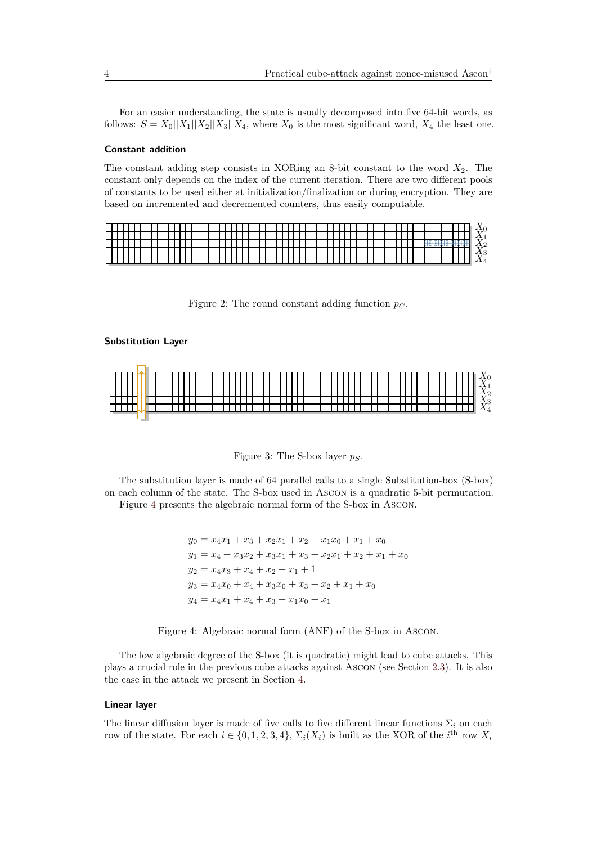For an easier understanding, the state is usually decomposed into five 64-bit words, as follows:  $S = X_0||X_1||X_2||X_3||X_4$ , where  $X_0$  is the most significant word,  $X_4$  the least one.

#### **Constant addition**

The constant adding step consists in XORing an 8-bit constant to the word *X*2. The constant only depends on the index of the current iteration. There are two different pools of constants to be used either at initialization/finalization or during encryption. They are based on incremented and decremented counters, thus easily computable.





#### **Substitution Layer**



Figure 3: The S-box layer *pS*.

<span id="page-3-0"></span>The substitution layer is made of 64 parallel calls to a single Substitution-box (S-box) on each column of the state. The S-box used in Ascon is a quadratic 5-bit permutation. Figure [4](#page-3-0) presents the algebraic normal form of the S-box in Ascon.

> $y_0 = x_4x_1 + x_3 + x_2x_1 + x_2 + x_1x_0 + x_1 + x_0$  $y_1 = x_4 + x_3x_2 + x_3x_1 + x_3 + x_2x_1 + x_2 + x_1 + x_0$  $y_2 = x_4x_3 + x_4 + x_2 + x_1 + 1$  $y_3 = x_4x_0 + x_4 + x_3x_0 + x_3 + x_2 + x_1 + x_0$  $y_4 = x_4x_1 + x_4 + x_3 + x_1x_0 + x_1$

Figure 4: Algebraic normal form (ANF) of the S-box in Ascon.

The low algebraic degree of the S-box (it is quadratic) might lead to cube attacks. This plays a crucial role in the previous cube attacks against Ascon (see Section [2.3\)](#page-4-0). It is also the case in the attack we present in Section [4.](#page-8-0)

#### **Linear layer**

The linear diffusion layer is made of five calls to five different linear functions  $\Sigma_i$  on each row of the state. For each  $i \in \{0, 1, 2, 3, 4\}$ ,  $\Sigma_i(X_i)$  is built as the XOR of the *i*<sup>th</sup> row  $X_i$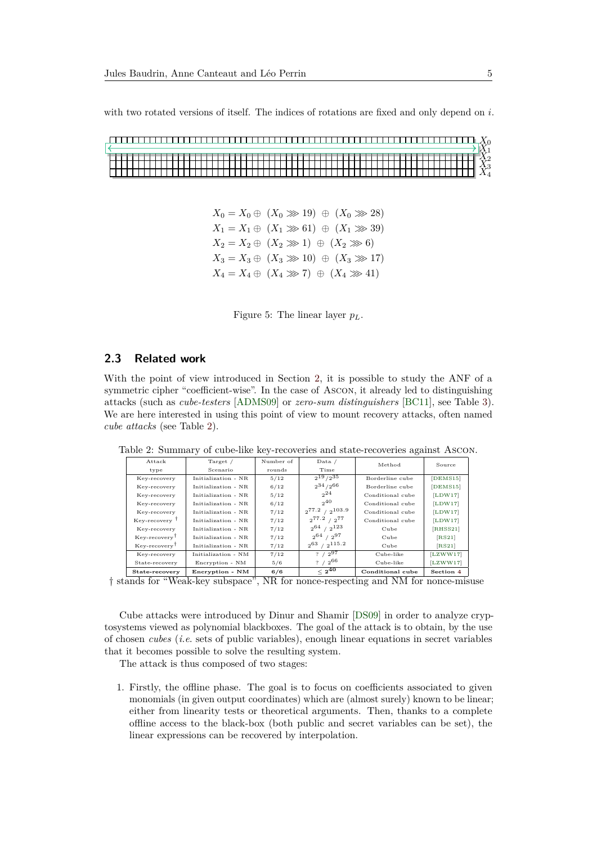with two rotated versions of itself. The indices of rotations are fixed and only depend on *i*.

|  |  |  | the control of the control of the |  |  |  |  |  |  |  |  |  |  |  |  |  |  | and the control of the control of the control of the control of the control of the control of the control of the |  |  |  |  |  |  |  |  |  |  |  |  |  |  |  | $\sim$ |           |
|--|--|--|-----------------------------------|--|--|--|--|--|--|--|--|--|--|--|--|--|--|------------------------------------------------------------------------------------------------------------------|--|--|--|--|--|--|--|--|--|--|--|--|--|--|--|--------|-----------|
|  |  |  |                                   |  |  |  |  |  |  |  |  |  |  |  |  |  |  |                                                                                                                  |  |  |  |  |  |  |  |  |  |  |  |  |  |  |  |        | ---       |
|  |  |  |                                   |  |  |  |  |  |  |  |  |  |  |  |  |  |  |                                                                                                                  |  |  |  |  |  |  |  |  |  |  |  |  |  |  |  |        | <b>TP</b> |
|  |  |  |                                   |  |  |  |  |  |  |  |  |  |  |  |  |  |  |                                                                                                                  |  |  |  |  |  |  |  |  |  |  |  |  |  |  |  |        |           |

*X*<sub>0</sub> = *X*<sub>0</sub> ⊕ (*X*<sub>0</sub> ≫ 19) ⊕ (*X*<sub>0</sub> ≫ 28) *X*<sub>1</sub> = *X*<sub>1</sub> ⊕ (*X*<sub>1</sub> ≫ 61) ⊕ (*X*<sub>1</sub> ≫ 39) *X*<sub>2</sub> = *X*<sub>2</sub> ⊕ (*X*<sub>2</sub> ≫ 1) ⊕ (*X*<sub>2</sub> ≫ 6)  $X_3 = X_3 ⊕ (X_3 ≫ 10) ⊕ (X_3 ≫ 17)$ *X*<sub>4</sub> = *X*<sub>4</sub> ⊕ (*X*<sub>4</sub> ≫ 7) ⊕ (*X*<sub>4</sub> ≫ 41)



# <span id="page-4-0"></span>**2.3 Related work**

With the point of view introduced in Section [2,](#page-1-1) it is possible to study the ANF of a symmetric cipher "coefficient-wise". In the case of Ascon, it already led to distinguishing attacks (such as *cube-testers* [\[ADMS09\]](#page-17-8) or *zero-sum distinguishers* [\[BC11\]](#page-17-9), see Table [3\)](#page-5-1). We are here interested in using this point of view to mount recovery attacks, often named *cube attacks* (see Table [2\)](#page-4-1).

| Attack                      | Target /            | Number of | Data $/$                 | Method           | Source    |  |
|-----------------------------|---------------------|-----------|--------------------------|------------------|-----------|--|
| type                        | Scenario            | rounds    | Time                     |                  |           |  |
| Key-recovery                | Initialization - NR | 5/12      | $2^{19}/2^{35}$          | Borderline cube  | [DEMS15]  |  |
| Key-recovery                | Initialization - NR | 6/12      | $2^{34}/2^{66}$          | Borderline cube  | [DEMS15]  |  |
| Key-recovery                | Initialization - NR | 5/12      | $2^{24}$                 | Conditional cube | [LDW17]   |  |
| Key-recovery                | Initialization - NR | 6/12      | $2^{40}$                 | Conditional cube | [LDW17]   |  |
| Key-recovery                | Initialization - NR | 7/12      | $2^{77.2}$ / $2^{103.9}$ | Conditional cube | [LDW17]   |  |
| $Key-recovery$ <sup>T</sup> | Initialization - NR | 7/12      | $2^{77.2}$ / $2^{77}$    | Conditional cube | [LDW17]   |  |
| Key-recovery                | Initialization - NR | 7/12      | $2^{64}$ / $2^{123}$     | Cube             | [RHSS21]  |  |
| Key-recovery <sup>T</sup>   | Initialization - NR | 7/12      | $2^{64}$<br>$/2^{97}$    | Cube             | [RS21]    |  |
| Key-recovery <sup>T</sup>   | Initialization - NR | 7/12      | $/2^{115.2}$<br>$2^{63}$ | Cube             | [RS21]    |  |
| Key-recovery                | Initialization - NM | 7/12      | $? / 2^{97}$             | Cube-like        | [LZWW17]  |  |
| State-recovery              | Encryption - NM     | 5/6       | $? / 2^{66}$             | Cube-like        | [LZWW17]  |  |
| State-recovery              | Encryption - NM     | 6/6       | $<\,2^{40}$              | Conditional cube | Section 4 |  |

<span id="page-4-1"></span>Table 2: Summary of cube-like key-recoveries and state-recoveries against Ascon.

† stands for "Weak-key subspace", NR for nonce-respecting and NM for nonce-misuse

Cube attacks were introduced by Dinur and Shamir [\[DS09\]](#page-18-6) in order to analyze cryptosystems viewed as polynomial blackboxes. The goal of the attack is to obtain, by the use of chosen *cubes* (*i.e*. sets of public variables), enough linear equations in secret variables that it becomes possible to solve the resulting system.

The attack is thus composed of two stages:

1. Firstly, the offline phase. The goal is to focus on coefficients associated to given monomials (in given output coordinates) which are (almost surely) known to be linear; either from linearity tests or theoretical arguments. Then, thanks to a complete offline access to the black-box (both public and secret variables can be set), the linear expressions can be recovered by interpolation.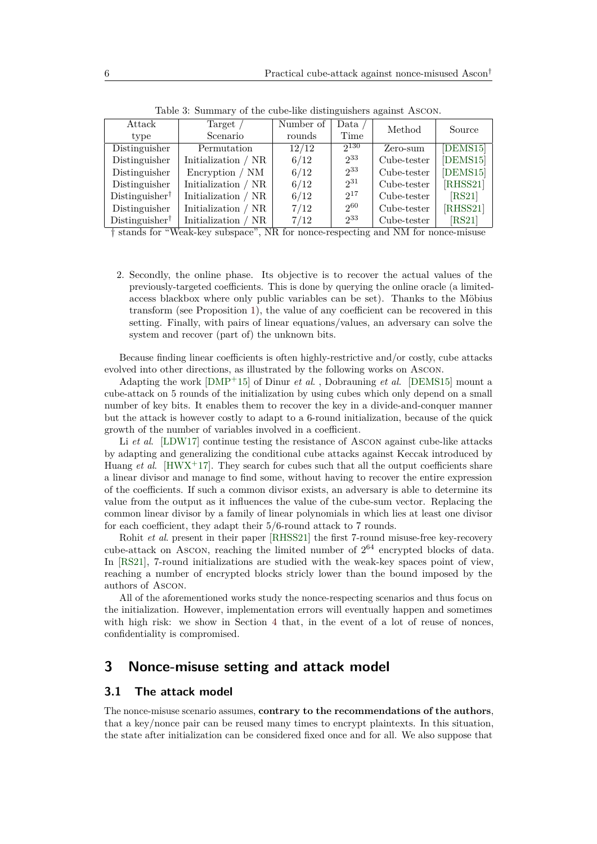<span id="page-5-1"></span>

| Attack                     | Target                | Number of | Data $/$  | Method      | Source            |
|----------------------------|-----------------------|-----------|-----------|-------------|-------------------|
| type                       | Scenario              | rounds    | Time      |             |                   |
| Distinguisher              | Permutation           | 12/12     | $2^{130}$ | Zero-sum    | [DEMS15]          |
| Distinguisher              | Initialization / NR   | 6/12      | $2^{33}$  | Cube-tester | [DEMS15]          |
| Distinguisher              | Encryption / NM       | 6/12      | $2^{33}$  | Cube-tester | [DEMS15]          |
| Distinguisher              | Initialization / NR   | 6/12      | $2^{31}$  | Cube-tester | $[{\rm RHS}$ S21] |
| $Distinguisher^{\dagger}$  | Initialization / NR   | 6/12      | $2^{17}$  | Cube-tester | [RS21]            |
| Distinguisher              | Initialization / NR   | 7/12      | 260       | Cube-tester | $[{\rm RHS}$ S21] |
| Distinguisher <sup>†</sup> | Initialization<br>NR. | 7/12      | 233       | Cube-tester | [RS21]            |

Table 3: Summary of the cube-like distinguishers against Ascon.

† stands for "Weak-key subspace", NR for nonce-respecting and NM for nonce-misuse

2. Secondly, the online phase. Its objective is to recover the actual values of the previously-targeted coefficients. This is done by querying the online oracle (a limitedaccess blackbox where only public variables can be set). Thanks to the Möbius transform (see Proposition [1\)](#page-1-2), the value of any coefficient can be recovered in this setting. Finally, with pairs of linear equations/values, an adversary can solve the system and recover (part of) the unknown bits.

Because finding linear coefficients is often highly-restrictive and/or costly, cube attacks evolved into other directions, as illustrated by the following works on Ascon.

Adapting the work [\[DMP](#page-18-7)<sup>+</sup>15] of Dinur *et al*. , Dobrauning *et al*. [\[DEMS15\]](#page-17-10) mount a cube-attack on 5 rounds of the initialization by using cubes which only depend on a small number of key bits. It enables them to recover the key in a divide-and-conquer manner but the attack is however costly to adapt to a 6-round initialization, because of the quick growth of the number of variables involved in a coefficient.

Li *et al.* [\[LDW17\]](#page-18-2) continue testing the resistance of Ascon against cube-like attacks by adapting and generalizing the conditional cube attacks against Keccak introduced by Huang *et al.* [\[HWX](#page-18-8)<sup>+</sup>17]. They search for cubes such that all the output coefficients share a linear divisor and manage to find some, without having to recover the entire expression of the coefficients. If such a common divisor exists, an adversary is able to determine its value from the output as it influences the value of the cube-sum vector. Replacing the common linear divisor by a family of linear polynomials in which lies at least one divisor for each coefficient, they adapt their 5/6-round attack to 7 rounds.

Rohit *et al*. present in their paper [\[RHSS21\]](#page-18-3) the first 7-round misuse-free key-recovery cube-attack on Ascon, reaching the limited number of 2 <sup>64</sup> encrypted blocks of data. In [\[RS21\]](#page-18-4), 7-round initializations are studied with the weak-key spaces point of view, reaching a number of encrypted blocks stricly lower than the bound imposed by the authors of Ascon.

All of the aforementioned works study the nonce-respecting scenarios and thus focus on the initialization. However, implementation errors will eventually happen and sometimes with high risk: we show in Section [4](#page-8-0) that, in the event of a lot of reuse of nonces, confidentiality is compromised.

# <span id="page-5-0"></span>**3 Nonce-misuse setting and attack model**

### **3.1 The attack model**

The nonce-misuse scenario assumes, **contrary to the recommendations of the authors**, that a key/nonce pair can be reused many times to encrypt plaintexts. In this situation, the state after initialization can be considered fixed once and for all. We also suppose that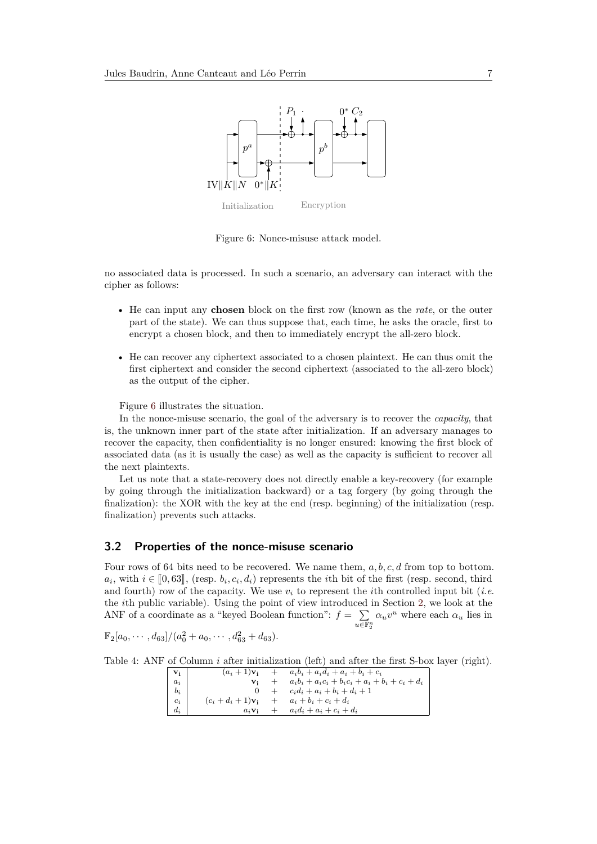<span id="page-6-0"></span>

Initialization Encryption

Figure 6: Nonce-misuse attack model.

no associated data is processed. In such a scenario, an adversary can interact with the cipher as follows:

- He can input any **chosen** block on the first row (known as the *rate*, or the outer part of the state). We can thus suppose that, each time, he asks the oracle, first to encrypt a chosen block, and then to immediately encrypt the all-zero block.
- He can recover any ciphertext associated to a chosen plaintext. He can thus omit the first ciphertext and consider the second ciphertext (associated to the all-zero block) as the output of the cipher.

Figure [6](#page-6-0) illustrates the situation.

In the nonce-misuse scenario, the goal of the adversary is to recover the *capacity*, that is, the unknown inner part of the state after initialization. If an adversary manages to recover the capacity, then confidentiality is no longer ensured: knowing the first block of associated data (as it is usually the case) as well as the capacity is sufficient to recover all the next plaintexts.

Let us note that a state-recovery does not directly enable a key-recovery (for example by going through the initialization backward) or a tag forgery (by going through the finalization): the XOR with the key at the end (resp. beginning) of the initialization (resp. finalization) prevents such attacks.

### **3.2 Properties of the nonce-misuse scenario**

Four rows of 64 bits need to be recovered. We name them, *a, b, c, d* from top to bottom.  $a_i$ , with  $i \in [0, 63]$ , (resp.  $b_i, c_i, d_i$ ) represents the *i*th bit of the first (resp. second, third and fourth) row of the enneative W<sub>0</sub> use u, to represent the *i*th controlled input bit *(i.e.*) and fourth) row of the capacity. We use  $v_i$  to represent the *i*th controlled input bit (*i.e.* the *i*th public variable). Using the point of view introduced in Section [2,](#page-1-1) we look at the ANF of a coordinate as a "keyed Boolean function":  $f = \sum$  $u \overline{\in} \mathbb{F}_2^n$  $\alpha_u v^u$  where each  $\alpha_u$  lies in

$$
\mathbb{F}_2[a_0,\cdots,d_{63}]/(a_0^2+a_0,\cdots,d_{63}^2+d_{63}).
$$

<span id="page-6-1"></span>Table 4: ANF of Column *i* after initialization (left) and after the first S-box layer (right).

| $'$ $V_i$ +       |                               |     | $(a_i + 1)\mathbf{v}_i + a_i b_i + a_i d_i + a_i + b_i + c_i$ |
|-------------------|-------------------------------|-----|---------------------------------------------------------------|
|                   |                               |     | $a_i b_i + a_i c_i + b_i c_i + a_i + b_i + c_i + d_i$         |
| $\frac{a_i}{b_i}$ |                               |     | $c_i d_i + a_i + b_i + d_i + 1$                               |
| $\,c_i\,$         | $(c_i + d_i + 1)\mathbf{v_i}$ | $+$ | $a_i + b_i + c_i + d_i$                                       |
| $d_i$             | $a_i$ $\bf{v}_i$              | $+$ | $a_i d_i + a_i + c_i + d_i$                                   |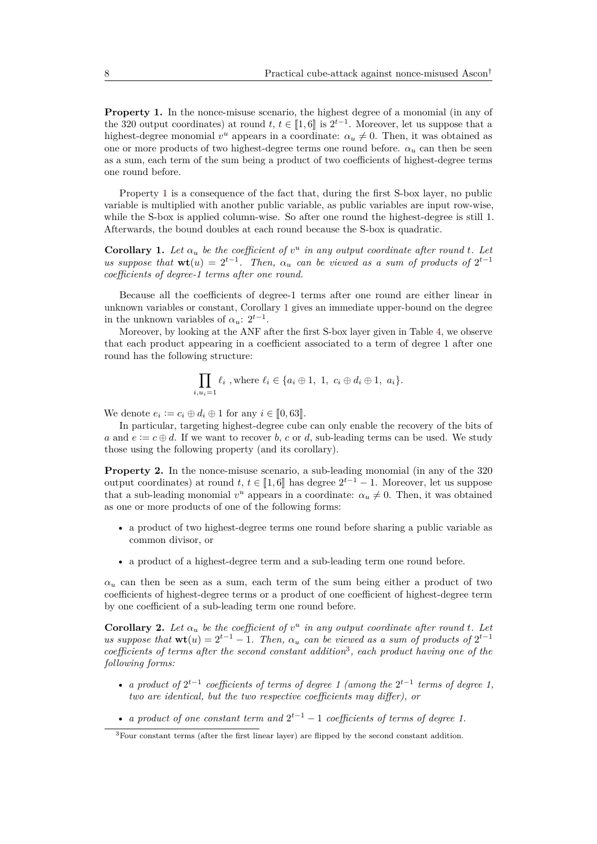<span id="page-7-0"></span>**Property 1.** In the nonce-misuse scenario, the highest degree of a monomial (in any of the 320 output coordinates) at round *t*,  $t \in [1, 6]$  is  $2^{t-1}$ . Moreover, let us suppose that a<br>bigheet degree monomial  $x^u$  appears in a coordinate:  $\alpha \neq 0$ . Then it was obtained as highest-degree monomial  $v^u$  appears in a coordinate:  $\alpha_u \neq 0$ . Then, it was obtained as one or more products of two highest-degree terms one round before.  $\alpha_u$  can then be seen as a sum, each term of the sum being a product of two coefficients of highest-degree terms one round before.

Property [1](#page-7-0) is a consequence of the fact that, during the first S-box layer, no public variable is multiplied with another public variable, as public variables are input row-wise, while the S-box is applied column-wise. So after one round the highest-degree is still 1. Afterwards, the bound doubles at each round because the S-box is quadratic.

<span id="page-7-1"></span>**Corollary 1.** Let  $\alpha_u$  be the coefficient of  $v^u$  in any output coordinate after round *t*. Let *us suppose that*  $\mathbf{wt}(u) = 2^{t-1}$ . Then,  $\alpha_u$  *can be viewed as a sum of products of*  $2^{t-1}$ *coefficients of degree-1 terms after one round.*

Because all the coefficients of degree-1 terms after one round are either linear in unknown variables or constant, Corollary [1](#page-7-1) gives an immediate upper-bound on the degree in the unknown variables of  $\alpha_u$ :  $2^{t-1}$ .

Moreover, by looking at the ANF after the first S-box layer given in Table [4,](#page-6-1) we observe that each product appearing in a coefficient associated to a term of degree 1 after one round has the following structure:

$$
\prod_{i,u_i=1} \ell_i \text{ , where } \ell_i \in \{a_i \oplus 1, 1, c_i \oplus d_i \oplus 1, a_i\}.
$$

We denote  $e_i := c_i \oplus d_i \oplus 1$  for any  $i \in [0, 63]$ .<br>In particular, targeting highest degree subg

In particular, targeting highest-degree cube can only enable the recovery of the bits of *a* and  $e := c \oplus d$ . If we want to recover *b*, *c* or *d*, sub-leading terms can be used. We study those using the following property (and its corollary).

**Property 2.** In the nonce-misuse scenario, a sub-leading monomial (in any of the 320 output coordinates) at round *t*,  $t \in [1, 6]$  has degree  $2^{t-1} - 1$ . Moreover, let us suppose that a sub-leading monomial  $v^u$  appears in a coordinate:  $\alpha_u \neq 0$ . Then, it was obtained as one or more products of one of the following forms:

- a product of two highest-degree terms one round before sharing a public variable as common divisor, or
- a product of a highest-degree term and a sub-leading term one round before.

 $\alpha$ <sup>*u*</sup> can then be seen as a sum, each term of the sum being either a product of two coefficients of highest-degree terms or a product of one coefficient of highest-degree term by one coefficient of a sub-leading term one round before.

<span id="page-7-3"></span>**Corollary 2.** Let  $\alpha_u$  be the coefficient of  $v^u$  in any output coordinate after round *t*. Let *us suppose that*  $\mathbf{wt}(u) = 2^{t-1} - 1$ . Then,  $\alpha_u$  can be viewed as a sum of products of  $2^{t-1}$ *coefficients of terms after the second constant addition*[3](#page-7-2) *, each product having one of the following forms:*

- *a product of* 2 *t*−1 *coefficients of terms of degree 1 (among the* 2 *t*−1 *terms of degree 1, two are identical, but the two respective coefficients may differ), or*
- *a product of one constant term and*  $2^{t-1} 1$  *coefficients of terms of degree 1.*

<span id="page-7-2"></span><sup>3</sup>Four constant terms (after the first linear layer) are flipped by the second constant addition.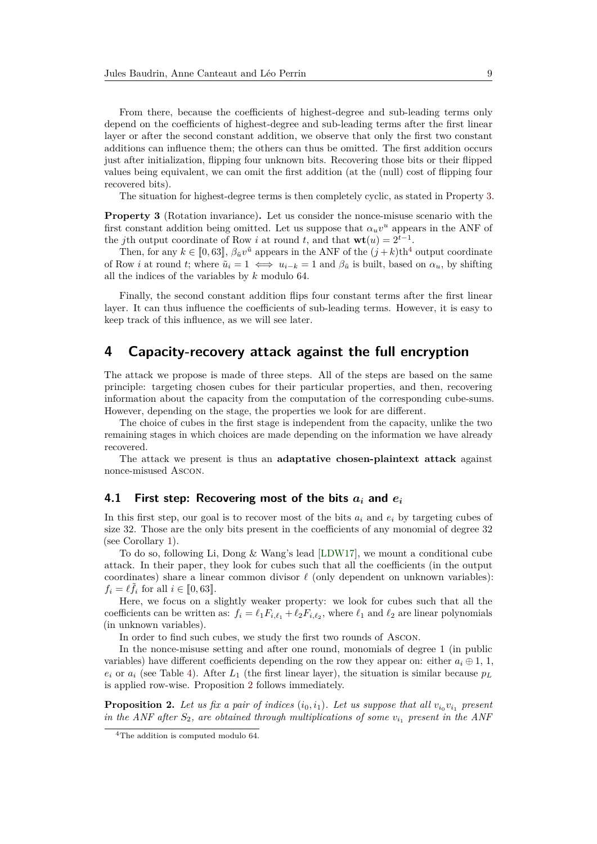From there, because the coefficients of highest-degree and sub-leading terms only depend on the coefficients of highest-degree and sub-leading terms after the first linear layer or after the second constant addition, we observe that only the first two constant additions can influence them; the others can thus be omitted. The first addition occurs just after initialization, flipping four unknown bits. Recovering those bits or their flipped values being equivalent, we can omit the first addition (at the (null) cost of flipping four recovered bits).

The situation for highest-degree terms is then completely cyclic, as stated in Property [3.](#page-8-1)

<span id="page-8-1"></span>**Property 3** (Rotation invariance)**.** Let us consider the nonce-misuse scenario with the first constant addition being omitted. Let us suppose that  $\alpha_u v^u$  appears in the ANF of the *j*th output coordinate of Row *i* at round *t*, and that  $\mathbf{wt}(u) = 2^{t-1}$ .

Then, for any  $k \in [0, 63]$ ,  $\beta_{\tilde{u}}v^{\tilde{u}}$  appears in the ANF of the  $(j+k)th^4$  $(j+k)th^4$  output coordinate of Row *i* at round *t*; where  $\tilde{u}_i = 1 \iff u_{i-k} = 1$  and  $\beta_{\tilde{u}}$  is built, based on  $\alpha_u$ , by shifting all the indices of the variables by *k* modulo 64.

Finally, the second constant addition flips four constant terms after the first linear layer. It can thus influence the coefficients of sub-leading terms. However, it is easy to keep track of this influence, as we will see later.

# <span id="page-8-0"></span>**4 Capacity-recovery attack against the full encryption**

The attack we propose is made of three steps. All of the steps are based on the same principle: targeting chosen cubes for their particular properties, and then, recovering information about the capacity from the computation of the corresponding cube-sums. However, depending on the stage, the properties we look for are different.

The choice of cubes in the first stage is independent from the capacity, unlike the two remaining stages in which choices are made depending on the information we have already recovered.

The attack we present is thus an **adaptative chosen-plaintext attack** against nonce-misused Ascon.

# **4.1 First step: Recovering most of the bits** *a<sup>i</sup>* **and** *e<sup>i</sup>*

In this first step, our goal is to recover most of the bits *a<sup>i</sup>* and *e<sup>i</sup>* by targeting cubes of size 32. Those are the only bits present in the coefficients of any monomial of degree 32 (see Corollary [1\)](#page-7-1).

To do so, following Li, Dong & Wang's lead [\[LDW17\]](#page-18-2), we mount a conditional cube attack. In their paper, they look for cubes such that all the coefficients (in the output coordinates) share a linear common divisor *ℓ* (only dependent on unknown variables):  $f_i = \ell \tilde{f}_i$  for all  $i \in [0, 63]$ .

Here, we focus on a slightly weaker property: we look for cubes such that all the coefficients can be written as:  $f_i = \ell_1 F_{i,\ell_1} + \ell_2 F_{i,\ell_2}$ , where  $\ell_1$  and  $\ell_2$  are linear polynomials (in unknown variables).

In order to find such cubes, we study the first two rounds of Ascon.

In the nonce-misuse setting and after one round, monomials of degree 1 (in public variables) have different coefficients depending on the row they appear on: either  $a_i \oplus 1, 1$ ,  $e_i$  or  $a_i$  (see Table [4\)](#page-6-1). After  $L_1$  (the first linear layer), the situation is similar because  $p_L$ is applied row-wise. Proposition [2](#page-8-3) follows immediately.

<span id="page-8-3"></span>**Proposition 2.** Let us fix a pair of indices  $(i_0, i_1)$ . Let us suppose that all  $v_{i_0}v_{i_1}$  present *in the ANF after*  $S_2$ *, are obtained through multiplications of some*  $v_i$ <sub>*i*</sub> *present in the ANF* 

<span id="page-8-2"></span><sup>4</sup>The addition is computed modulo 64.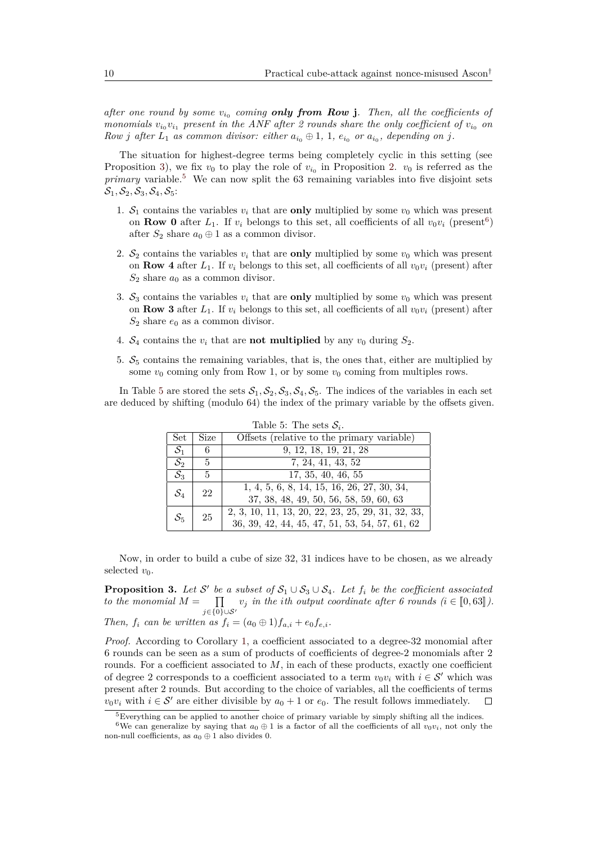*after one round by some*  $v_{i_0}$  *coming only from Row* **j**. Then, all the coefficients of *monomials*  $v_{i_0}v_{i_1}$  present in the ANF after 2 rounds share the only coefficient of  $v_{i_0}$  on *Row j after*  $L_1$  *as common divisor: either*  $a_{i_0} \oplus 1$ , 1,  $e_{i_0}$  *or*  $a_{i_0}$ , *depending on j*.

The situation for highest-degree terms being completely cyclic in this setting (see Proposition [3\)](#page-8-1), we fix  $v_0$  to play the role of  $v_{i_0}$  in Proposition [2.](#page-8-3)  $v_0$  is referred as the *primary* variable.<sup>[5](#page-9-0)</sup> We can now split the 63 remaining variables into five disjoint sets  $\mathcal{S}_1, \mathcal{S}_2, \mathcal{S}_3, \mathcal{S}_4, \mathcal{S}_5$ :

- 1.  $S_1$  contains the variables  $v_i$  that are only multiplied by some  $v_0$  which was present on **Row 0** after  $L_1$ . If  $v_i$  belongs to this set, all coefficients of all  $v_0v_i$  (present<sup>[6](#page-9-1)</sup>) after  $S_2$  share  $a_0 \oplus 1$  as a common divisor.
- 2.  $S_2$  contains the variables  $v_i$  that are **only** multiplied by some  $v_0$  which was present on **Row** 4 after  $L_1$ . If  $v_i$  belongs to this set, all coefficients of all  $v_0v_i$  (present) after  $S_2$  share  $a_0$  as a common divisor.
- 3.  $S_3$  contains the variables  $v_i$  that are **only** multiplied by some  $v_0$  which was present on **Row 3** after  $L_1$ . If  $v_i$  belongs to this set, all coefficients of all  $v_0v_i$  (present) after  $S_2$  share  $e_0$  as a common divisor.
- 4.  $S_4$  contains the  $v_i$  that are **not multiplied** by any  $v_0$  during  $S_2$ .
- 5.  $S_5$  contains the remaining variables, that is, the ones that, either are multiplied by some  $v_0$  coming only from Row 1, or by some  $v_0$  coming from multiples rows.

<span id="page-9-2"></span>In Table [5](#page-9-2) are stored the sets  $S_1, S_2, S_3, S_4, S_5$ . The indices of the variables in each set are deduced by shifting (modulo 64) the index of the primary variable by the offsets given.

| Set                        | Size          | Offsets (relative to the primary variable)                                                          |
|----------------------------|---------------|-----------------------------------------------------------------------------------------------------|
| $S_1$                      | 6             | 9, 12, 18, 19, 21, 28                                                                               |
| $\overline{\mathcal{S}}_2$ | -5            | 7, 24, 41, 43, 52                                                                                   |
| $\mathcal{S}_3$            | $\frac{5}{2}$ | 17, 35, 40, 46, 55                                                                                  |
| $S_4$                      | 22            | $1, 4, 5, 6, 8, 14, 15, 16, 26, 27, 30, 34,$<br>37, 38, 48, 49, 50, 56, 58, 59, 60, 63              |
| $\mathcal{S}_5$            | -25           | 2, 3, 10, 11, 13, 20, 22, 23, 25, 29, 31, 32, 33,<br>36, 39, 42, 44, 45, 47, 51, 53, 54, 57, 61, 62 |

Table 5: The sets  $S_i$ .

Now, in order to build a cube of size 32, 31 indices have to be chosen, as we already selected  $v_0$ .

<span id="page-9-3"></span>**Proposition 3.** Let S' be a subset of  $S_1 \cup S_3 \cup S_4$ . Let  $f_i$  be the coefficient associated *to the monomial*  $M = \prod$  $\prod_{j \in \{0\} \cup S'} v_j$  *in the ith output coordinate after 6 rounds (i* ∈ [0*,* 63]). *Then,*  $f_i$  *can be written as*  $f_i = (a_0 \oplus 1) f_{a,i} + e_0 f_{e,i}$ .

*Proof.* According to Corollary [1,](#page-7-1) a coefficient associated to a degree-32 monomial after 6 rounds can be seen as a sum of products of coefficients of degree-2 monomials after 2 rounds. For a coefficient associated to *M*, in each of these products, exactly one coefficient of degree 2 corresponds to a coefficient associated to a term  $v_0v_i$  with  $i \in S'$  which was present after 2 rounds. But according to the choice of variables, all the coefficients of terms  $v_0v_i$  with  $i \in S'$  are either divisible by  $a_0 + 1$  or  $e_0$ . The result follows immediately.  $\Box$ 

<span id="page-9-1"></span><span id="page-9-0"></span> $5$ Everything can be applied to another choice of primary variable by simply shifting all the indices.

<sup>&</sup>lt;sup>6</sup>We can generalize by saying that  $a_0 \oplus 1$  is a factor of all the coefficients of all  $v_0v_i$ , not only the non-null coefficients, as  $a_0 \oplus 1$  also divides 0.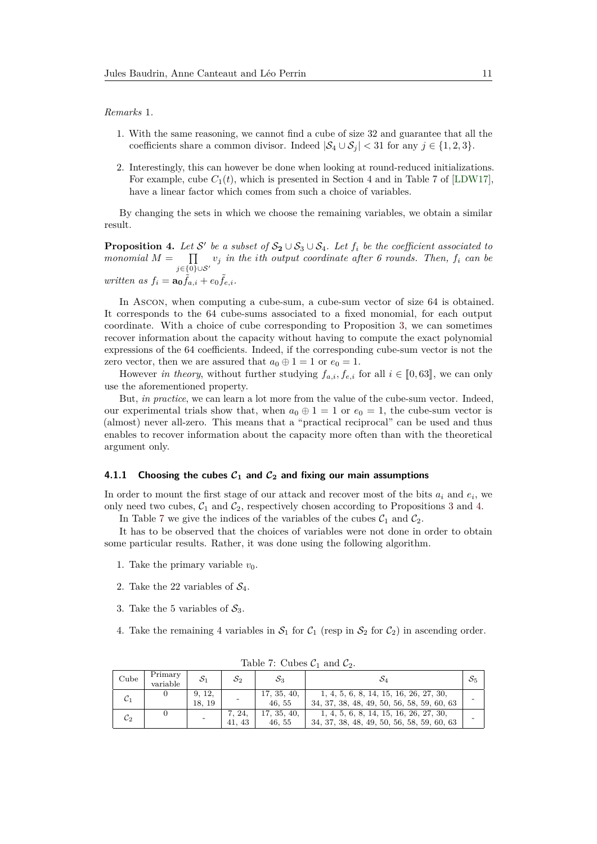*Remarks* 1*.*

- 1. With the same reasoning, we cannot find a cube of size 32 and guarantee that all the coefficients share a common divisor. Indeed  $|\mathcal{S}_4 \cup \mathcal{S}_i| < 31$  for any  $j \in \{1, 2, 3\}.$
- 2. Interestingly, this can however be done when looking at round-reduced initializations. For example, cube  $C_1(t)$ , which is presented in Section 4 and in Table 7 of [\[LDW17\]](#page-18-2), have a linear factor which comes from such a choice of variables.

By changing the sets in which we choose the remaining variables, we obtain a similar result.

<span id="page-10-0"></span>**Proposition 4.** Let S' be a subset of  $S_2 \cup S_3 \cup S_4$ . Let  $f_i$  be the coefficient associated to *monomial*  $M = \prod$ *j*∈{0}∪S′ *v<sup>j</sup> in the ith output coordinate after 6 rounds. Then, f<sup>i</sup> can be written as*  $f_i = \mathbf{a_0} \tilde{f}_{a,i} + e_0 \tilde{f}_{e,i}$ .

In Ascon, when computing a cube-sum, a cube-sum vector of size 64 is obtained. It corresponds to the 64 cube-sums associated to a fixed monomial, for each output coordinate. With a choice of cube corresponding to Proposition [3,](#page-9-3) we can sometimes recover information about the capacity without having to compute the exact polynomial expressions of the 64 coefficients. Indeed, if the corresponding cube-sum vector is not the zero vector, then we are assured that  $a_0 \oplus 1 = 1$  or  $e_0 = 1$ .

However *in theory*, without further studying  $f_{a,i}, f_{e,i}$  for all  $i \in [0, 63]$ , we can only use the aforementioned property.

But, *in practice*, we can learn a lot more from the value of the cube-sum vector. Indeed, our experimental trials show that, when  $a_0 \oplus 1 = 1$  or  $e_0 = 1$ , the cube-sum vector is (almost) never all-zero. This means that a "practical reciprocal" can be used and thus enables to recover information about the capacity more often than with the theoretical argument only.

#### **4.1.1 Choosing the cubes**  $C_1$  **and**  $C_2$  **and fixing our main assumptions**

In order to mount the first stage of our attack and recover most of the bits  $a_i$  and  $e_i$ , we only need two cubes,  $C_1$  and  $C_2$ , respectively chosen according to Propositions [3](#page-9-3) and [4.](#page-10-0)

In Table [7](#page-10-1) we give the indices of the variables of the cubes  $C_1$  and  $C_2$ .

It has to be observed that the choices of variables were not done in order to obtain some particular results. Rather, it was done using the following algorithm.

- 1. Take the primary variable  $v_0$ .
- 2. Take the 22 variables of  $S_4$ .
- 3. Take the 5 variables of  $S_3$ .
- 4. Take the remaining 4 variables in  $S_1$  for  $C_1$  (resp in  $S_2$  for  $C_2$ ) in ascending order.

<span id="page-10-1"></span>

| Cube            | Primary<br>variable | $\mathcal{S}_1$  | $\mathcal{S}_2$ | $\mathcal{S}_3$       |                                                                                        | $\mathcal{S}_5$ |
|-----------------|---------------------|------------------|-----------------|-----------------------|----------------------------------------------------------------------------------------|-----------------|
| C <sub>1</sub>  |                     | 9, 12,<br>18, 19 |                 | 17, 35, 40,<br>46, 55 | 1, 4, 5, 6, 8, 14, 15, 16, 26, 27, 30,<br>34, 37, 38, 48, 49, 50, 56, 58, 59, 60, 63   |                 |
| $\mathcal{C}_2$ |                     |                  | 7, 24,<br>41.43 | 17, 35, 40,<br>46, 55 | $1, 4, 5, 6, 8, 14, 15, 16, 26, 27, 30,$<br>34, 37, 38, 48, 49, 50, 56, 58, 59, 60, 63 |                 |

Table 7: Cubes  $C_1$  and  $C_2$ .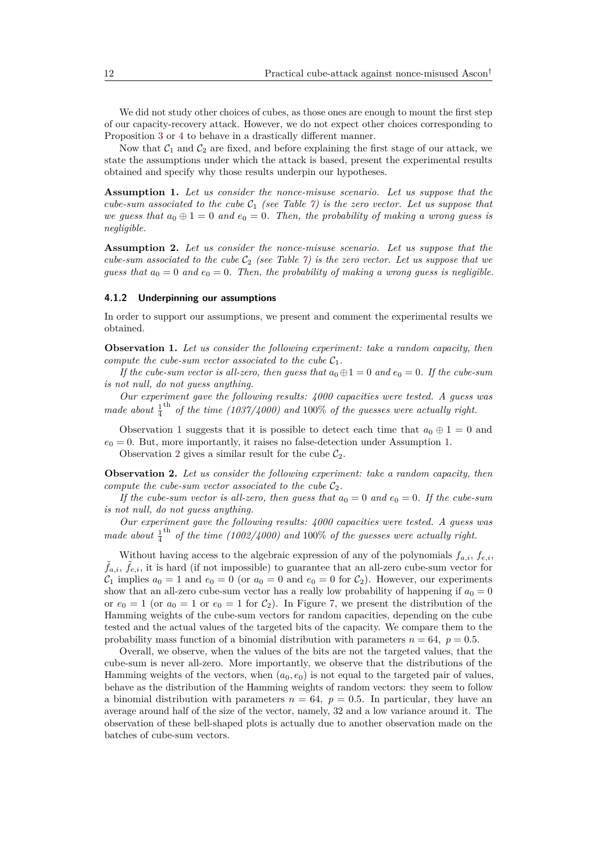We did not study other choices of cubes, as those ones are enough to mount the first step of our capacity-recovery attack. However, we do not expect other choices corresponding to Proposition [3](#page-9-3) or [4](#page-10-0) to behave in a drastically different manner.

Now that  $C_1$  and  $C_2$  are fixed, and before explaining the first stage of our attack, we state the assumptions under which the attack is based, present the experimental results obtained and specify why those results underpin our hypotheses.

<span id="page-11-1"></span>**Assumption 1.** *Let us consider the nonce-misuse scenario. Let us suppose that the cube-sum associated to the cube*  $C_1$  *(see Table [7\)](#page-10-1) is the zero vector. Let us suppose that we guess that*  $a_0 \oplus 1 = 0$  *and*  $e_0 = 0$ *. Then, the probability of making a wrong guess is negligible.*

<span id="page-11-3"></span>**Assumption 2.** *Let us consider the nonce-misuse scenario. Let us suppose that the cube-sum associated to the cube*  $C_2$  *(see Table [7\)](#page-10-1) is the zero vector. Let us suppose that we guess that*  $a_0 = 0$  *and*  $e_0 = 0$ *. Then, the probability of making a wrong guess is negligible.* 

#### **4.1.2 Underpinning our assumptions**

In order to support our assumptions, we present and comment the experimental results we obtained.

<span id="page-11-0"></span>**Observation 1.** *Let us consider the following experiment: take a random capacity, then compute the cube-sum vector associated to the cube*  $C_1$ .

*If the cube-sum vector is all-zero, then guess that*  $a_0 \oplus 1 = 0$  *and*  $e_0 = 0$ *. If the cube-sum is not null, do not guess anything.*

*Our experiment gave the following results: 4000 capacities were tested. A guess was made about*  $\frac{1}{4}$ <sup>th</sup> *of the time (1037/4000) and* 100% *of the guesses were actually right.* 

Observation [1](#page-11-0) suggests that it is possible to detect each time that  $a_0 \oplus 1 = 0$  and  $e_0 = 0$ . But, more importantly, it raises no false-detection under Assumption [1.](#page-11-1)

Observation [2](#page-11-2) gives a similar result for the cube  $C_2$ .

<span id="page-11-2"></span>**Observation 2.** *Let us consider the following experiment: take a random capacity, then compute the cube-sum vector associated to the cube*  $C_2$ *.* 

*If the cube-sum vector is all-zero, then guess that*  $a_0 = 0$  *and*  $e_0 = 0$ *. If the cube-sum is not null, do not guess anything.*

*Our experiment gave the following results: 4000 capacities were tested. A guess was made about*  $\frac{1}{4}$ <sup>th</sup> *of the time (1002/4000) and* 100% *of the guesses were actually right.* 

Without having access to the algebraic expression of any of the polynomials *fa,i*, *fe,i*,  $\tilde{f}_{a,i}, \tilde{f}_{e,i}$ , it is hard (if not impossible) to guarantee that an all-zero cube-sum vector for  $C_1$  implies  $a_0 = 1$  and  $e_0 = 0$  (or  $a_0 = 0$  and  $e_0 = 0$  for  $C_2$ ). However, our experiments show that an all-zero cube-sum vector has a really low probability of happening if  $a_0 = 0$ or  $e_0 = 1$  (or  $a_0 = 1$  or  $e_0 = 1$  for  $C_2$ ). In Figure [7,](#page-12-0) we present the distribution of the Hamming weights of the cube-sum vectors for random capacities, depending on the cube tested and the actual values of the targeted bits of the capacity. We compare them to the probability mass function of a binomial distribution with parameters  $n = 64$ ,  $p = 0.5$ .

Overall, we observe, when the values of the bits are not the targeted values, that the cube-sum is never all-zero. More importantly, we observe that the distributions of the Hamming weights of the vectors, when  $(a_0, e_0)$  is not equal to the targeted pair of values, behave as the distribution of the Hamming weights of random vectors: they seem to follow a binomial distribution with parameters  $n = 64$ ,  $p = 0.5$ . In particular, they have an average around half of the size of the vector, namely, 32 and a low variance around it. The observation of these bell-shaped plots is actually due to another observation made on the batches of cube-sum vectors.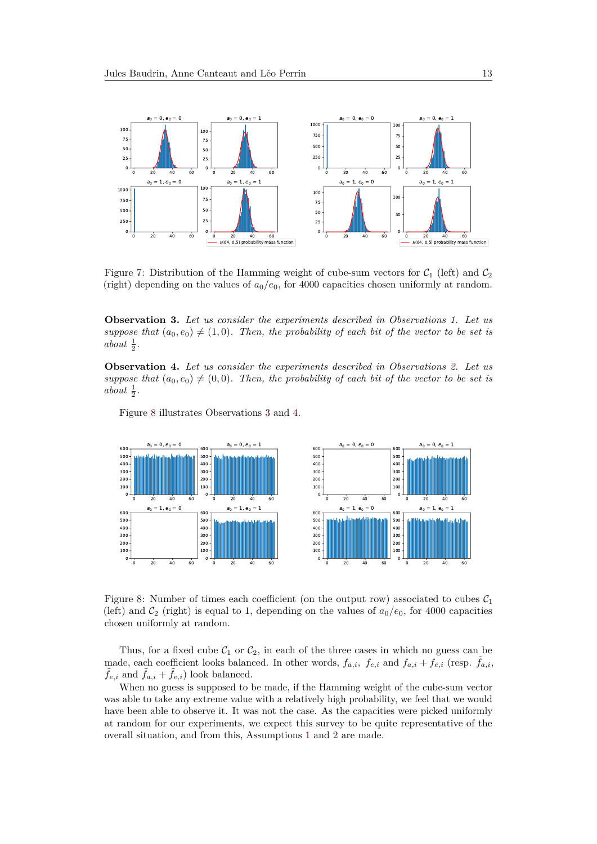<span id="page-12-0"></span>

Figure 7: Distribution of the Hamming weight of cube-sum vectors for  $C_1$  (left) and  $C_2$ (right) depending on the values of  $a_0/e_0$ , for 4000 capacities chosen uniformly at random.

<span id="page-12-2"></span>**Observation 3.** *Let us consider the experiments described in Observations [1.](#page-11-0) Let us* suppose that  $(a_0, e_0) \neq (1, 0)$ *. Then, the probability of each bit of the vector to be set is about*  $\frac{1}{2}$ *.* 

<span id="page-12-3"></span>**Observation 4.** *Let us consider the experiments described in Observations [2.](#page-11-2) Let us suppose that*  $(a_0, e_0) \neq (0, 0)$ *. Then, the probability of each bit of the vector to be set is about*  $\frac{1}{2}$ *.* 

Figure [8](#page-12-1) illustrates Observations [3](#page-12-2) and [4.](#page-12-3)

<span id="page-12-1"></span>

Figure 8: Number of times each coefficient (on the output row) associated to cubes  $C_1$ (left) and  $\mathcal{C}_2$  (right) is equal to 1, depending on the values of  $a_0/e_0$ , for 4000 capacities chosen uniformly at random.

Thus, for a fixed cube  $C_1$  or  $C_2$ , in each of the three cases in which no guess can be made, each coefficient looks balanced. In other words,  $f_{a,i}$ ,  $f_{e,i}$  and  $f_{a,i} + f_{e,i}$  (resp.  $\tilde{f}_{a,i}$ ,  $f_{e,i}$  and  $f_{a,i} + f_{e,i}$  look balanced.

When no guess is supposed to be made, if the Hamming weight of the cube-sum vector was able to take any extreme value with a relatively high probability, we feel that we would have been able to observe it. It was not the case. As the capacities were picked uniformly at random for our experiments, we expect this survey to be quite representative of the overall situation, and from this, Assumptions [1](#page-11-1) and [2](#page-11-3) are made.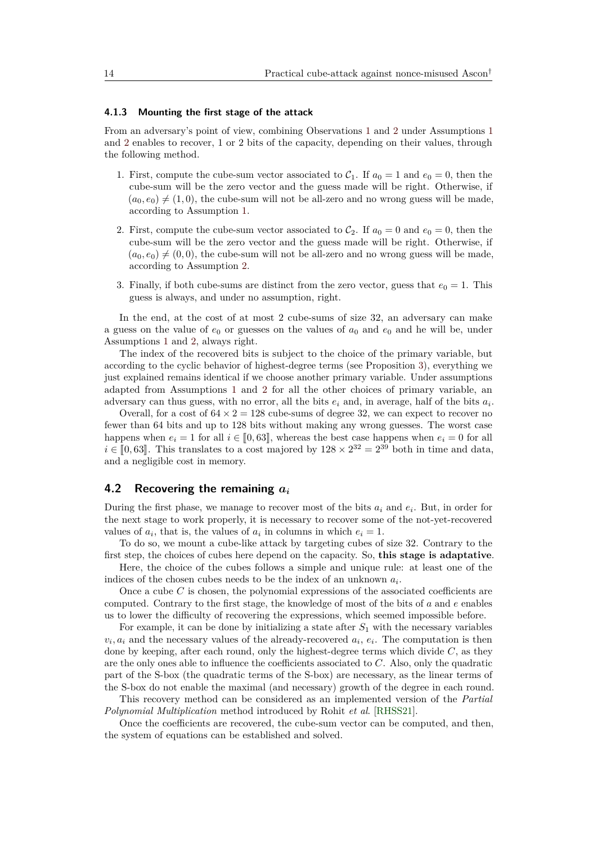#### **4.1.3 Mounting the first stage of the attack**

From an adversary's point of view, combining Observations [1](#page-11-0) and [2](#page-11-2) under Assumptions [1](#page-11-1) and [2](#page-11-3) enables to recover, 1 or 2 bits of the capacity, depending on their values, through the following method.

- 1. First, compute the cube-sum vector associated to  $C_1$ . If  $a_0 = 1$  and  $e_0 = 0$ , then the cube-sum will be the zero vector and the guess made will be right. Otherwise, if  $(a_0, e_0) \neq (1, 0)$ , the cube-sum will not be all-zero and no wrong guess will be made, according to Assumption [1.](#page-11-1)
- 2. First, compute the cube-sum vector associated to  $C_2$ . If  $a_0 = 0$  and  $e_0 = 0$ , then the cube-sum will be the zero vector and the guess made will be right. Otherwise, if  $(a_0, e_0) \neq (0, 0)$ , the cube-sum will not be all-zero and no wrong guess will be made, according to Assumption [2.](#page-11-3)
- 3. Finally, if both cube-sums are distinct from the zero vector, guess that  $e_0 = 1$ . This guess is always, and under no assumption, right.

In the end, at the cost of at most 2 cube-sums of size 32, an adversary can make a guess on the value of  $e_0$  or guesses on the values of  $a_0$  and  $e_0$  and he will be, under Assumptions [1](#page-11-1) and [2,](#page-11-3) always right.

The index of the recovered bits is subject to the choice of the primary variable, but according to the cyclic behavior of highest-degree terms (see Proposition [3\)](#page-8-1), everything we just explained remains identical if we choose another primary variable. Under assumptions adapted from Assumptions [1](#page-11-1) and [2](#page-11-3) for all the other choices of primary variable, an adversary can thus guess, with no error, all the bits  $e_i$  and, in average, half of the bits  $a_i$ .

Overall, for a cost of  $64 \times 2 = 128$  cube-sums of degree 32, we can expect to recover no fewer than 64 bits and up to 128 bits without making any wrong guesses. The worst case happens when  $e_i = 1$  for all  $i \in [0, 63]$ , whereas the best case happens when  $e_i = 0$  for all  $i \in [0, 63]$ . This translates to a cost majored by  $128 \times 2^{32} = 2^{39}$  both in time and data, and a negligible cost in memory.

### **4.2 Recovering the remaining** *a<sup>i</sup>*

During the first phase, we manage to recover most of the bits *a<sup>i</sup>* and *e<sup>i</sup>* . But, in order for the next stage to work properly, it is necessary to recover some of the not-yet-recovered values of  $a_i$ , that is, the values of  $a_i$  in columns in which  $e_i = 1$ .

To do so, we mount a cube-like attack by targeting cubes of size 32. Contrary to the first step, the choices of cubes here depend on the capacity. So, **this stage is adaptative**.

Here, the choice of the cubes follows a simple and unique rule: at least one of the indices of the chosen cubes needs to be the index of an unknown  $a_i$ .

Once a cube *C* is chosen, the polynomial expressions of the associated coefficients are computed. Contrary to the first stage, the knowledge of most of the bits of *a* and *e* enables us to lower the difficulty of recovering the expressions, which seemed impossible before.

For example, it can be done by initializing a state after  $S_1$  with the necessary variables  $v_i, a_i$  and the necessary values of the already-recovered  $a_i, e_i$ . The computation is then done by keeping, after each round, only the highest-degree terms which divide *C*, as they are the only ones able to influence the coefficients associated to *C*. Also, only the quadratic part of the S-box (the quadratic terms of the S-box) are necessary, as the linear terms of the S-box do not enable the maximal (and necessary) growth of the degree in each round.

This recovery method can be considered as an implemented version of the *Partial Polynomial Multiplication* method introduced by Rohit *et al*. [\[RHSS21\]](#page-18-3).

Once the coefficients are recovered, the cube-sum vector can be computed, and then, the system of equations can be established and solved.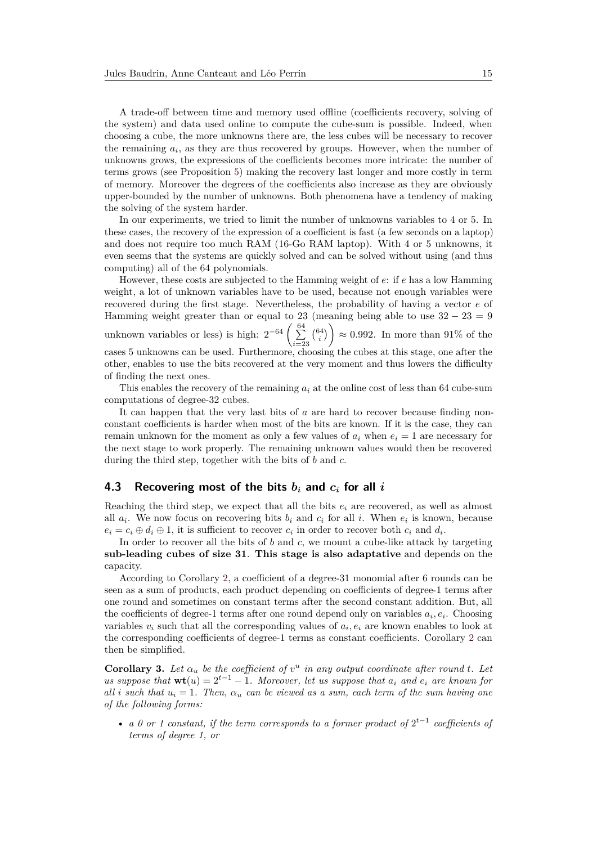A trade-off between time and memory used offline (coefficients recovery, solving of the system) and data used online to compute the cube-sum is possible. Indeed, when choosing a cube, the more unknowns there are, the less cubes will be necessary to recover the remaining  $a_i$ , as they are thus recovered by groups. However, when the number of unknowns grows, the expressions of the coefficients becomes more intricate: the number of terms grows (see Proposition [5\)](#page-15-0) making the recovery last longer and more costly in term of memory. Moreover the degrees of the coefficients also increase as they are obviously upper-bounded by the number of unknowns. Both phenomena have a tendency of making the solving of the system harder.

In our experiments, we tried to limit the number of unknowns variables to 4 or 5. In these cases, the recovery of the expression of a coefficient is fast (a few seconds on a laptop) and does not require too much RAM (16-Go RAM laptop). With 4 or 5 unknowns, it even seems that the systems are quickly solved and can be solved without using (and thus computing) all of the 64 polynomials.

However, these costs are subjected to the Hamming weight of *e*: if *e* has a low Hamming weight, a lot of unknown variables have to be used, because not enough variables were recovered during the first stage. Nevertheless, the probability of having a vector *e* of Hamming weight greater than or equal to 23 (meaning being able to use  $32 - 23 = 9$ ) unknown variables or less) is high:  $2^{-64} \left( \frac{64}{2} \right)$ *i*=23  $\binom{64}{i}$   $\approx 0.992$ . In more than 91% of the cases 5 unknowns can be used. Furthermore, choosing the cubes at this stage, one after the other, enables to use the bits recovered at the very moment and thus lowers the difficulty of finding the next ones.

This enables the recovery of the remaining  $a_i$  at the online cost of less than 64 cube-sum computations of degree-32 cubes.

It can happen that the very last bits of *a* are hard to recover because finding nonconstant coefficients is harder when most of the bits are known. If it is the case, they can remain unknown for the moment as only a few values of  $a_i$  when  $e_i = 1$  are necessary for the next stage to work properly. The remaining unknown values would then be recovered during the third step, together with the bits of *b* and *c*.

# **4.3** Recovering most of the bits  $b_i$  and  $c_i$  for all  $i$

Reaching the third step, we expect that all the bits *e<sup>i</sup>* are recovered, as well as almost all  $a_i$ . We now focus on recovering bits  $b_i$  and  $c_i$  for all *i*. When  $e_i$  is known, because  $e_i = c_i \oplus d_i \oplus 1$ , it is sufficient to recover  $c_i$  in order to recover both  $c_i$  and  $d_i$ .

In order to recover all the bits of *b* and *c*, we mount a cube-like attack by targeting **sub-leading cubes of size 31**. **This stage is also adaptative** and depends on the capacity.

According to Corollary [2,](#page-7-3) a coefficient of a degree-31 monomial after 6 rounds can be seen as a sum of products, each product depending on coefficients of degree-1 terms after one round and sometimes on constant terms after the second constant addition. But, all the coefficients of degree-1 terms after one round depend only on variables  $a_i, e_i$ . Choosing variables  $v_i$  such that all the corresponding values of  $a_i, e_i$  are known enables to look at the corresponding coefficients of degree-1 terms as constant coefficients. Corollary [2](#page-7-3) can then be simplified.

<span id="page-14-0"></span>**Corollary 3.** Let  $\alpha_u$  be the coefficient of  $v^u$  in any output coordinate after round *t*. Let *us suppose that*  $\mathbf{wt}(u) = 2^{t-1} - 1$ *. Moreover, let us suppose that*  $a_i$  *and*  $e_i$  *are known for all i* such that  $u_i = 1$ . Then,  $\alpha_u$  can be viewed as a sum, each term of the sum having one *of the following forms:*

**•** *a* 0 or 1 constant, if the term corresponds to a former product of  $2^{t-1}$  coefficients of *terms of degree 1, or*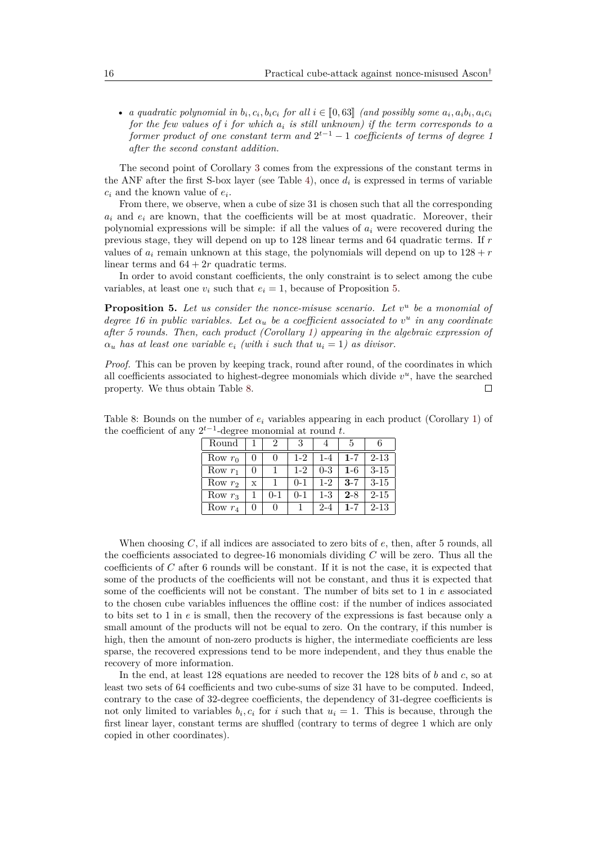• a quadratic polynomial in  $b_i, c_i, b_i c_i$  for all  $i \in [0, 63]$  (and possibly some  $a_i, a_i b_i, a_i c_i$ <br>for the fear values of i for which  $a_i$  is still values over it for a symmetry *for the few values of i for which a<sup>i</sup> is still unknown) if the term corresponds to a former product of one constant term and*  $2^{t-1} - 1$  *coefficients of terms of degree 1 after the second constant addition.*

The second point of Corollary [3](#page-14-0) comes from the expressions of the constant terms in the ANF after the first S-box layer (see Table [4\)](#page-6-1), once  $d_i$  is expressed in terms of variable *c<sup>i</sup>* and the known value of *e<sup>i</sup>* .

From there, we observe, when a cube of size 31 is chosen such that all the corresponding *a<sup>i</sup>* and *e<sup>i</sup>* are known, that the coefficients will be at most quadratic. Moreover, their polynomial expressions will be simple: if all the values of *a<sup>i</sup>* were recovered during the previous stage, they will depend on up to 128 linear terms and 64 quadratic terms. If *r* values of  $a_i$  remain unknown at this stage, the polynomials will depend on up to  $128 + r$ linear terms and  $64 + 2r$  quadratic terms.

In order to avoid constant coefficients, the only constraint is to select among the cube variables, at least one  $v_i$  such that  $e_i = 1$ , because of Proposition [5.](#page-15-0)

<span id="page-15-0"></span>**Proposition 5.** Let us consider the nonce-misuse scenario. Let  $v^u$  be a monomial of *degree 16 in public variables. Let*  $\alpha_u$  *be a coefficient associated to*  $v^u$  *in any coordinate after 5 rounds. Then, each product (Corollary [1\)](#page-7-1) appearing in the algebraic expression of*  $\alpha_u$  *has at least one variable*  $e_i$  *(with i such that*  $u_i = 1$ *) as divisor.* 

*Proof.* This can be proven by keeping track, round after round, of the coordinates in which all coefficients associated to highest-degree monomials which divide  $v^u$ , have the searched property. We thus obtain Table [8.](#page-15-1)  $\Box$ 

| Round     |   |         |          |         |         |          |
|-----------|---|---------|----------|---------|---------|----------|
| Row $r_0$ |   |         | $1-2$    | $1 - 4$ | $1 - 7$ | $2 - 13$ |
| Row $r_1$ |   |         | $1-2$    | $0 - 3$ | $1 - 6$ | $3 - 15$ |
| Row $r_2$ | X |         | $() - 1$ | $1 - 2$ | $3 - 7$ | $3 - 15$ |
| Row $r_3$ |   | $0 - 1$ | $0 - 1$  | $1 - 3$ | $2 - 8$ | $2 - 15$ |
| Row $r_4$ |   |         |          | $2 - 4$ | $1 - 7$ | $2 - 13$ |

<span id="page-15-1"></span>Table 8: Bounds on the number of *e<sup>i</sup>* variables appearing in each product (Corollary [1\)](#page-7-1) of the coefficient of any  $2^{t-1}$ -degree monomial at round *t*.

When choosing *C*, if all indices are associated to zero bits of *e*, then, after 5 rounds, all the coefficients associated to degree-16 monomials dividing *C* will be zero. Thus all the coefficients of *C* after 6 rounds will be constant. If it is not the case, it is expected that some of the products of the coefficients will not be constant, and thus it is expected that some of the coefficients will not be constant. The number of bits set to 1 in *e* associated to the chosen cube variables influences the offline cost: if the number of indices associated to bits set to 1 in *e* is small, then the recovery of the expressions is fast because only a small amount of the products will not be equal to zero. On the contrary, if this number is high, then the amount of non-zero products is higher, the intermediate coefficients are less sparse, the recovered expressions tend to be more independent, and they thus enable the recovery of more information.

In the end, at least 128 equations are needed to recover the 128 bits of *b* and *c*, so at least two sets of 64 coefficients and two cube-sums of size 31 have to be computed. Indeed, contrary to the case of 32-degree coefficients, the dependency of 31-degree coefficients is not only limited to variables  $b_i, c_i$  for *i* such that  $u_i = 1$ . This is because, through the first linear layer, constant terms are shuffled (contrary to terms of degree 1 which are only copied in other coordinates).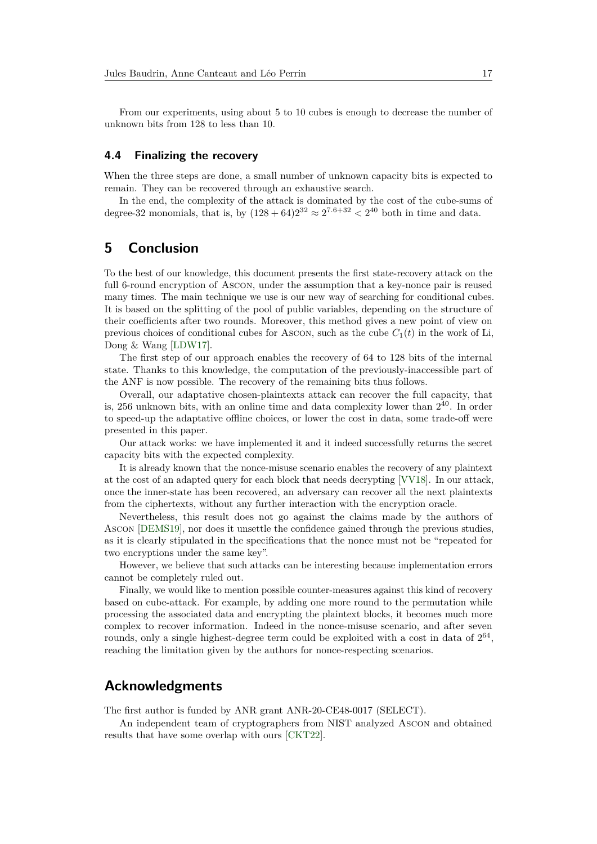From our experiments, using about 5 to 10 cubes is enough to decrease the number of unknown bits from 128 to less than 10.

### **4.4 Finalizing the recovery**

When the three steps are done, a small number of unknown capacity bits is expected to remain. They can be recovered through an exhaustive search.

In the end, the complexity of the attack is dominated by the cost of the cube-sums of degree-32 monomials, that is, by  $(128 + 64)2^{32} \approx 2^{7.6 + 32} < 2^{40}$  both in time and data.

# <span id="page-16-0"></span>**5 Conclusion**

To the best of our knowledge, this document presents the first state-recovery attack on the full 6-round encryption of Ascon, under the assumption that a key-nonce pair is reused many times. The main technique we use is our new way of searching for conditional cubes. It is based on the splitting of the pool of public variables, depending on the structure of their coefficients after two rounds. Moreover, this method gives a new point of view on previous choices of conditional cubes for Ascon, such as the cube  $C_1(t)$  in the work of Li, Dong & Wang [\[LDW17\]](#page-18-2).

The first step of our approach enables the recovery of 64 to 128 bits of the internal state. Thanks to this knowledge, the computation of the previously-inaccessible part of the ANF is now possible. The recovery of the remaining bits thus follows.

Overall, our adaptative chosen-plaintexts attack can recover the full capacity, that is, 256 unknown bits, with an online time and data complexity lower than  $2^{40}$ . In order to speed-up the adaptative offline choices, or lower the cost in data, some trade-off were presented in this paper.

Our attack works: we have implemented it and it indeed successfully returns the secret capacity bits with the expected complexity.

It is already known that the nonce-misuse scenario enables the recovery of any plaintext at the cost of an adapted query for each block that needs decrypting [\[VV18\]](#page-18-9). In our attack, once the inner-state has been recovered, an adversary can recover all the next plaintexts from the ciphertexts, without any further interaction with the encryption oracle.

Nevertheless, this result does not go against the claims made by the authors of Ascon [\[DEMS19\]](#page-17-1), nor does it unsettle the confidence gained through the previous studies, as it is clearly stipulated in the specifications that the nonce must not be "repeated for two encryptions under the same key".

However, we believe that such attacks can be interesting because implementation errors cannot be completely ruled out.

Finally, we would like to mention possible counter-measures against this kind of recovery based on cube-attack. For example, by adding one more round to the permutation while processing the associated data and encrypting the plaintext blocks, it becomes much more complex to recover information. Indeed in the nonce-misuse scenario, and after seven rounds, only a single highest-degree term could be exploited with a cost in data of  $2^{64}$ , reaching the limitation given by the authors for nonce-respecting scenarios.

# **Acknowledgments**

The first author is funded by ANR grant ANR-20-CE48-0017 (SELECT).

An independent team of cryptographers from NIST analyzed Ascon and obtained results that have some overlap with ours [\[CKT22\]](#page-17-11).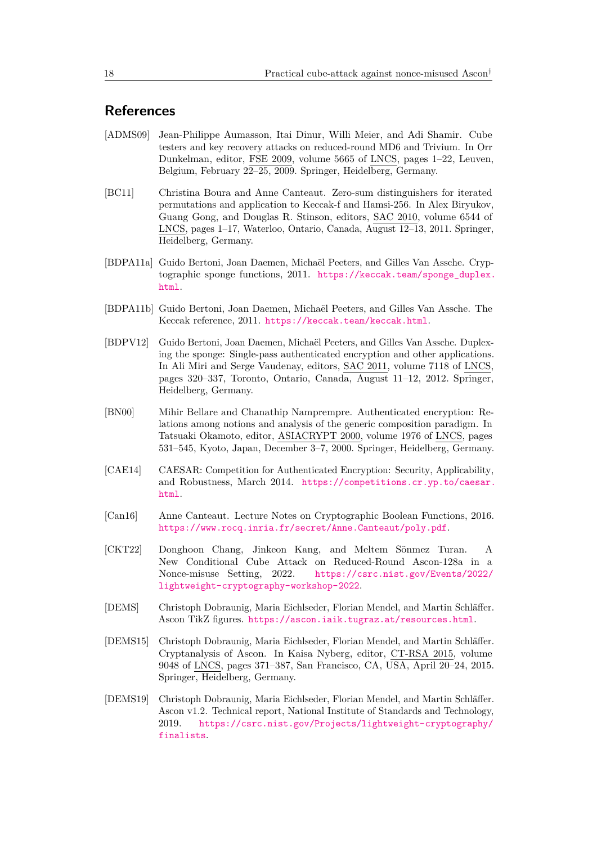# **References**

- <span id="page-17-8"></span>[ADMS09] Jean-Philippe Aumasson, Itai Dinur, Willi Meier, and Adi Shamir. Cube testers and key recovery attacks on reduced-round MD6 and Trivium. In Orr Dunkelman, editor, FSE 2009, volume 5665 of LNCS, pages 1–22, Leuven, Belgium, February 22–25, 2009. Springer, Heidelberg, Germany.
- <span id="page-17-9"></span>[BC11] Christina Boura and Anne Canteaut. Zero-sum distinguishers for iterated permutations and application to Keccak-f and Hamsi-256. In Alex Biryukov, Guang Gong, and Douglas R. Stinson, editors, SAC 2010, volume 6544 of LNCS, pages 1–17, Waterloo, Ontario, Canada, August 12–13, 2011. Springer, Heidelberg, Germany.
- <span id="page-17-5"></span>[BDPA11a] Guido Bertoni, Joan Daemen, Michaël Peeters, and Gilles Van Assche. Cryptographic sponge functions, 2011. [https://keccak.team/sponge\\_duplex.](https://keccak.team/sponge_duplex.html) [html](https://keccak.team/sponge_duplex.html).
- <span id="page-17-6"></span>[BDPA11b] Guido Bertoni, Joan Daemen, Michaël Peeters, and Gilles Van Assche. The Keccak reference, 2011. <https://keccak.team/keccak.html>.
- <span id="page-17-4"></span>[BDPV12] Guido Bertoni, Joan Daemen, Michaël Peeters, and Gilles Van Assche. Duplexing the sponge: Single-pass authenticated encryption and other applications. In Ali Miri and Serge Vaudenay, editors, SAC 2011, volume 7118 of LNCS, pages 320–337, Toronto, Ontario, Canada, August 11–12, 2012. Springer, Heidelberg, Germany.
- <span id="page-17-2"></span>[BN00] Mihir Bellare and Chanathip Namprempre. Authenticated encryption: Relations among notions and analysis of the generic composition paradigm. In Tatsuaki Okamoto, editor, ASIACRYPT 2000, volume 1976 of LNCS, pages 531–545, Kyoto, Japan, December 3–7, 2000. Springer, Heidelberg, Germany.
- <span id="page-17-0"></span>[CAE14] CAESAR: Competition for Authenticated Encryption: Security, Applicability, and Robustness, March 2014. [https://competitions.cr.yp.to/caesar.](https://competitions.cr.yp.to/caesar.html) [html](https://competitions.cr.yp.to/caesar.html).
- <span id="page-17-3"></span>[Can16] Anne Canteaut. Lecture Notes on Cryptographic Boolean Functions, 2016. <https://www.rocq.inria.fr/secret/Anne.Canteaut/poly.pdf>.
- <span id="page-17-11"></span>[CKT22] Donghoon Chang, Jinkeon Kang, and Meltem Sönmez Turan. A New Conditional Cube Attack on Reduced-Round Ascon-128a in a Nonce-misuse Setting, 2022. [https://csrc.nist.gov/Events/2022/](https://csrc.nist.gov/Events/2022/lightweight-cryptography-workshop-2022) [lightweight-cryptography-workshop-2022](https://csrc.nist.gov/Events/2022/lightweight-cryptography-workshop-2022).
- <span id="page-17-7"></span>[DEMS] Christoph Dobraunig, Maria Eichlseder, Florian Mendel, and Martin Schläffer. Ascon TikZ figures. <https://ascon.iaik.tugraz.at/resources.html>.
- <span id="page-17-10"></span>[DEMS15] Christoph Dobraunig, Maria Eichlseder, Florian Mendel, and Martin Schläffer. Cryptanalysis of Ascon. In Kaisa Nyberg, editor, CT-RSA 2015, volume 9048 of LNCS, pages 371–387, San Francisco, CA, USA, April 20–24, 2015. Springer, Heidelberg, Germany.
- <span id="page-17-1"></span>[DEMS19] Christoph Dobraunig, Maria Eichlseder, Florian Mendel, and Martin Schläffer. Ascon v1.2. Technical report, National Institute of Standards and Technology, 2019. [https://csrc.nist.gov/Projects/lightweight-cryptography/](https://csrc.nist.gov/Projects/lightweight-cryptography/finalists) [finalists](https://csrc.nist.gov/Projects/lightweight-cryptography/finalists).